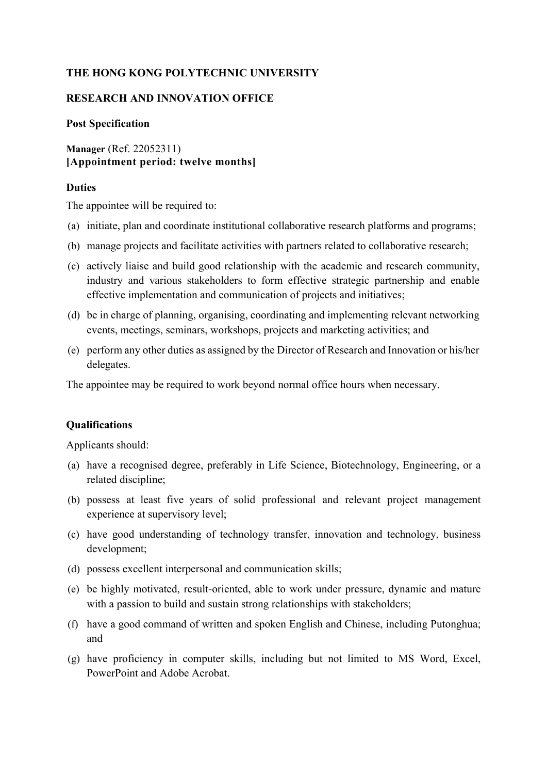# **THE HONG KONG POLYTECHNIC UNIVERSITY**

## **RESEARCH AND INNOVATION OFFICE**

#### **Post Specification**

**Manager** (Ref. 22052311) **[Appointment period: twelve months]**

## **Duties**

The appointee will be required to:

- (a) initiate, plan and coordinate institutional collaborative research platforms and programs;
- (b) manage projects and facilitate activities with partners related to collaborative research;
- (c) actively liaise and build good relationship with the academic and research community, industry and various stakeholders to form effective strategic partnership and enable effective implementation and communication of projects and initiatives;
- (d) be in charge of planning, organising, coordinating and implementing relevant networking events, meetings, seminars, workshops, projects and marketing activities; and
- (e) perform any other duties as assigned by the Director of Research and Innovation or his/her delegates.

The appointee may be required to work beyond normal office hours when necessary.

# **Qualifications**

Applicants should:

- (a) have a recognised degree, preferably in Life Science, Biotechnology, Engineering, or a related discipline;
- (b) possess at least five years of solid professional and relevant project management experience at supervisory level;
- (c) have good understanding of technology transfer, innovation and technology, business development;
- (d) possess excellent interpersonal and communication skills;
- (e) be highly motivated, result-oriented, able to work under pressure, dynamic and mature with a passion to build and sustain strong relationships with stakeholders;
- (f) have a good command of written and spoken English and Chinese, including Putonghua; and
- (g) have proficiency in computer skills, including but not limited to MS Word, Excel, PowerPoint and Adobe Acrobat.